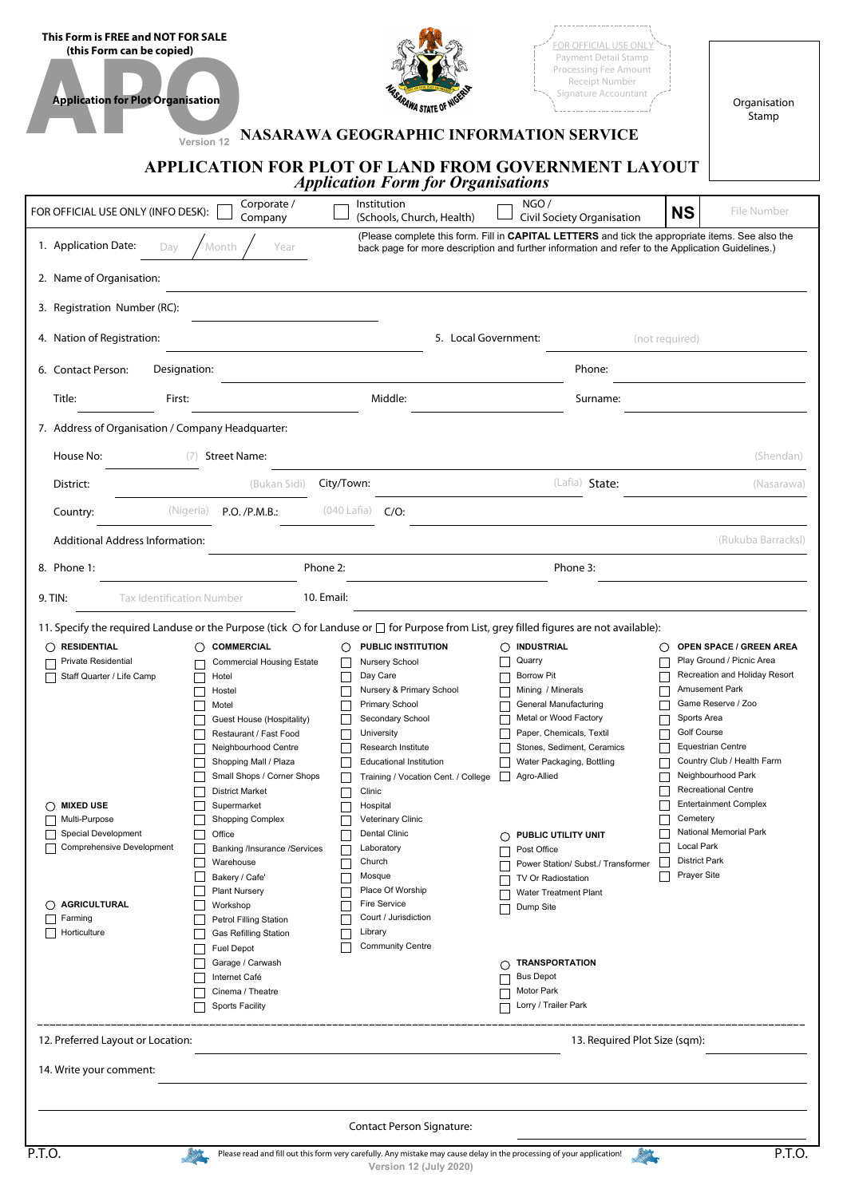| This Form is FREE and NOT FOR SALE<br>(this Form can be copied)<br><b>Application for Plot Organisation</b>                                        |                                                                                                                                                                                                                                                       | RAWA STATE OF <sup>NV</sup>                                                                                                                                                                                                                          | OR OFFICIAL USE ONL<br>Payment Detail Stamp<br>Processing Fee Amount<br>Receipt Number<br>Signature Accountant                                                                                                                           | Organisation<br>Stamp                                                                                                                                                                                                                                                            |
|----------------------------------------------------------------------------------------------------------------------------------------------------|-------------------------------------------------------------------------------------------------------------------------------------------------------------------------------------------------------------------------------------------------------|------------------------------------------------------------------------------------------------------------------------------------------------------------------------------------------------------------------------------------------------------|------------------------------------------------------------------------------------------------------------------------------------------------------------------------------------------------------------------------------------------|----------------------------------------------------------------------------------------------------------------------------------------------------------------------------------------------------------------------------------------------------------------------------------|
|                                                                                                                                                    | Version 12                                                                                                                                                                                                                                            | <b>Application Form for Organisations</b>                                                                                                                                                                                                            | NASARAWA GEOGRAPHIC INFORMATION SERVICE<br><b>APPLICATION FOR PLOT OF LAND FROM GOVERNMENT LAYOUT</b>                                                                                                                                    |                                                                                                                                                                                                                                                                                  |
| FOR OFFICIAL USE ONLY (INFO DESK):                                                                                                                 | Corporate /<br>Company                                                                                                                                                                                                                                | Institution<br>(Schools, Church, Health)                                                                                                                                                                                                             | NGO/<br><b>Civil Society Organisation</b>                                                                                                                                                                                                | <b>NS</b><br>File Number                                                                                                                                                                                                                                                         |
| 1. Application Date:<br>Dav                                                                                                                        | Month<br>Year                                                                                                                                                                                                                                         |                                                                                                                                                                                                                                                      | (Please complete this form. Fill in CAPITAL LETTERS and tick the appropriate items. See also the<br>back page for more description and further information and refer to the Application Guidelines.)                                     |                                                                                                                                                                                                                                                                                  |
| 2. Name of Organisation:                                                                                                                           |                                                                                                                                                                                                                                                       |                                                                                                                                                                                                                                                      |                                                                                                                                                                                                                                          |                                                                                                                                                                                                                                                                                  |
| 3. Registration Number (RC):                                                                                                                       |                                                                                                                                                                                                                                                       |                                                                                                                                                                                                                                                      |                                                                                                                                                                                                                                          |                                                                                                                                                                                                                                                                                  |
| 4. Nation of Registration:                                                                                                                         |                                                                                                                                                                                                                                                       |                                                                                                                                                                                                                                                      | 5. Local Government:                                                                                                                                                                                                                     | (not required)                                                                                                                                                                                                                                                                   |
| Designation:<br>6. Contact Person:                                                                                                                 |                                                                                                                                                                                                                                                       |                                                                                                                                                                                                                                                      | Phone:                                                                                                                                                                                                                                   |                                                                                                                                                                                                                                                                                  |
| Title:<br>First:                                                                                                                                   |                                                                                                                                                                                                                                                       | Middle:                                                                                                                                                                                                                                              | Surname:                                                                                                                                                                                                                                 |                                                                                                                                                                                                                                                                                  |
| 7. Address of Organisation / Company Headquarter:<br>House No:                                                                                     | (7) Street Name:                                                                                                                                                                                                                                      |                                                                                                                                                                                                                                                      |                                                                                                                                                                                                                                          | (Shendan)                                                                                                                                                                                                                                                                        |
| District:                                                                                                                                          | (Bukan Sidi)                                                                                                                                                                                                                                          | City/Town:                                                                                                                                                                                                                                           | (Lafia) State:                                                                                                                                                                                                                           | (Nasarawa)                                                                                                                                                                                                                                                                       |
| Country:                                                                                                                                           | (Nigeria)<br>P.O. / P.M.B.:                                                                                                                                                                                                                           | $(040$ Lafia) $C/O$ :                                                                                                                                                                                                                                |                                                                                                                                                                                                                                          |                                                                                                                                                                                                                                                                                  |
| Additional Address Information:                                                                                                                    |                                                                                                                                                                                                                                                       |                                                                                                                                                                                                                                                      |                                                                                                                                                                                                                                          | (Rukuba Barracksl)                                                                                                                                                                                                                                                               |
| O RESIDENTIAL<br><b>Private Residential</b><br>Staff Quarter / Life Camp                                                                           | $\bigcirc$ commercial<br><b>Commercial Housing Estate</b><br>Hotel<br>Hostel<br>Motel<br>Guest House (Hospitality)<br>Restaurant / Fast Food<br>Neighbourhood Centre<br>Shopping Mall / Plaza<br>Small Shops / Corner Shops<br><b>District Market</b> | $\bigcirc$ PUBLIC INSTITUTION<br>Nursery School<br>Day Care<br>Nursery & Primary School<br>Primary School<br>Secondary School<br>University<br>Research Institute<br><b>Educational Institution</b><br>Training / Vocation Cent. / College<br>Clinic | O INDUSTRIAL<br>Quarry<br><b>Borrow Pit</b><br>Mining / Minerals<br>General Manufacturing<br>Metal or Wood Factory<br>Paper, Chemicals, Textil<br>Stones, Sediment, Ceramics<br>$\mathbf{L}$<br>Water Packaging, Bottling<br>Agro-Allied | <b>OPEN SPACE / GREEN AREA</b><br>Play Ground / Picnic Area<br>Recreation and Holiday Resort<br>Amusement Park<br>Game Reserve / Zoo<br>Sports Area<br>Golf Course<br><b>Equestrian Centre</b><br>Country Club / Health Farm<br>Neighbourhood Park<br><b>Recreational Centre</b> |
| $\bigcirc$ mixed use<br>Multi-Purpose<br><b>Special Development</b><br><b>Comprehensive Development</b><br>AGRICULTURAL<br>Farming<br>Horticulture | Supermarket<br><b>Shopping Complex</b><br>Office<br>Banking /Insurance /Services<br>Warehouse<br>Bakery / Cafe'<br><b>Plant Nursery</b><br>Workshop<br><b>Petrol Filling Station</b><br><b>Gas Refilling Station</b>                                  | Hospital<br>Veterinary Clinic<br><b>Dental Clinic</b><br>Laboratory<br>Г<br>Church<br>Mosque<br>Place Of Worship<br><b>Fire Service</b><br>Court / Jurisdiction<br>Library<br><b>Community Centre</b><br>$\mathbf{L}$                                | PUBLIC UTILITY UNIT<br>◯<br>Post Office<br>Power Station/ Subst./ Transformer<br>TV Or Radiostation<br>Г<br>Water Treatment Plant<br>Г<br>Dump Site                                                                                      | <b>Entertainment Complex</b><br>Cemetery<br>National Memorial Park<br>Local Park<br><b>District Park</b><br>Prayer Site                                                                                                                                                          |
| 12. Preferred Layout or Location:                                                                                                                  | Fuel Depot<br>Garage / Carwash<br>Internet Café<br>Cinema / Theatre<br><b>Sports Facility</b>                                                                                                                                                         |                                                                                                                                                                                                                                                      | <b>TRANSPORTATION</b><br>$\left(\right)$<br><b>Bus Depot</b><br>Motor Park<br>Lorry / Trailer Park<br>13. Required Plot Size (sqm):                                                                                                      |                                                                                                                                                                                                                                                                                  |
| 14. Write your comment:                                                                                                                            |                                                                                                                                                                                                                                                       | <b>Contact Person Signature:</b>                                                                                                                                                                                                                     |                                                                                                                                                                                                                                          |                                                                                                                                                                                                                                                                                  |
| P.T.O.                                                                                                                                             | <b>ALCORD</b>                                                                                                                                                                                                                                         |                                                                                                                                                                                                                                                      | Please read and fill out this form very carefully. Any mistake may cause delay in the processing of your application!<br>A OIS                                                                                                           | P.T.O.                                                                                                                                                                                                                                                                           |